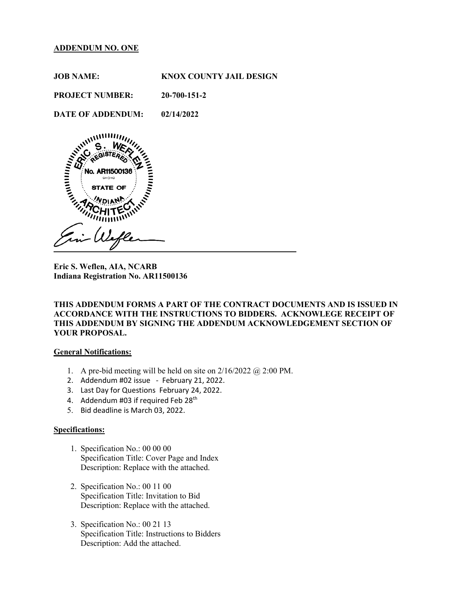## **ADDENDUM NO. ONE**

**JOB NAME: KNOX COUNTY JAIL DESIGN PROJECT NUMBER: 20-700-151-2** 

**DATE OF ADDENDUM: 02/14/2022** 



**Eric S. Weflen, AIA, NCARB Indiana Registration No. AR11500136** 

# **THIS ADDENDUM FORMS A PART OF THE CONTRACT DOCUMENTS AND IS ISSUED IN ACCORDANCE WITH THE INSTRUCTIONS TO BIDDERS. ACKNOWLEGE RECEIPT OF THIS ADDENDUM BY SIGNING THE ADDENDUM ACKNOWLEDGEMENT SECTION OF YOUR PROPOSAL.**

#### **General Notifications:**

- 1. A pre-bid meeting will be held on site on  $2/16/2022$  ( $\omega$ ) 2:00 PM.
- 2. Addendum #02 issue February 21, 2022.
- 3. Last Day for Questions February 24, 2022.
- 4. Addendum #03 if required Feb 28<sup>th</sup>
- 5. Bid deadline is March 03, 2022.

## **Specifications:**

- 1. Specification No.: 00 00 00 Specification Title: Cover Page and Index Description: Replace with the attached.
- 2. Specification No.: 00 11 00 Specification Title: Invitation to Bid Description: Replace with the attached.
- 3. Specification No.: 00 21 13 Specification Title: Instructions to Bidders Description: Add the attached.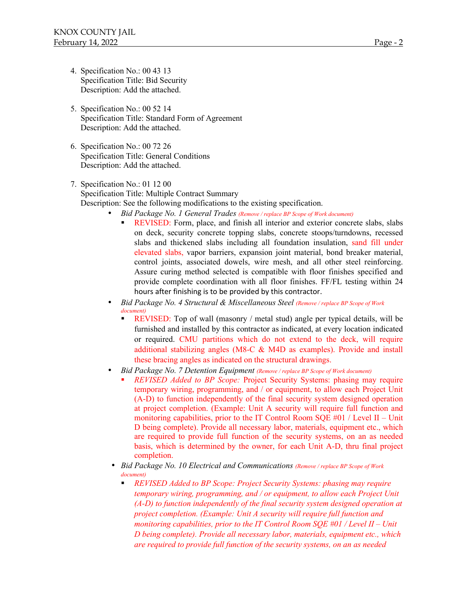- 4. Specification No.: 00 43 13 Specification Title: Bid Security Description: Add the attached.
- 5. Specification No.: 00 52 14 Specification Title: Standard Form of Agreement Description: Add the attached.
- 6. Specification No.: 00 72 26 Specification Title: General Conditions Description: Add the attached.
- 7. Specification No.: 01 12 00 Specification Title: Multiple Contract Summary Description: See the following modifications to the existing specification.
	- *Bid Package No. 1 General Trades (Remove / replace BP Scope of Work document)*
		- REVISED: Form, place, and finish all interior and exterior concrete slabs, slabs on deck, security concrete topping slabs, concrete stoops/turndowns, recessed slabs and thickened slabs including all foundation insulation, sand fill under elevated slabs, vapor barriers, expansion joint material, bond breaker material, control joints, associated dowels, wire mesh, and all other steel reinforcing. Assure curing method selected is compatible with floor finishes specified and provide complete coordination with all floor finishes. FF/FL testing within 24 hours after finishing is to be provided by this contractor.
	- *Bid Package No. 4 Structural & Miscellaneous Steel (Remove / replace BP Scope of Work document)*
		- REVISED: Top of wall (masonry / metal stud) angle per typical details, will be furnished and installed by this contractor as indicated, at every location indicated or required. CMU partitions which do not extend to the deck, will require additional stabilizing angles (M8-C & M4D as examples). Provide and install these bracing angles as indicated on the structural drawings.
	- *Bid Package No. 7 Detention Equipment (Remove / replace BP Scope of Work document)* 
		- *REVISED Added to BP Scope:* Project Security Systems: phasing may require temporary wiring, programming, and / or equipment, to allow each Project Unit (A-D) to function independently of the final security system designed operation at project completion. (Example: Unit A security will require full function and monitoring capabilities, prior to the IT Control Room SQE  $#01 /$  Level II – Unit D being complete). Provide all necessary labor, materials, equipment etc., which are required to provide full function of the security systems, on an as needed basis, which is determined by the owner, for each Unit A-D, thru final project completion.
	- *Bid Package No. 10 Electrical and Communications (Remove / replace BP Scope of Work document)*
		- *REVISED Added to BP Scope: Project Security Systems: phasing may require temporary wiring, programming, and / or equipment, to allow each Project Unit (A-D) to function independently of the final security system designed operation at project completion. (Example: Unit A security will require full function and monitoring capabilities, prior to the IT Control Room SQE #01 / Level II – Unit D being complete). Provide all necessary labor, materials, equipment etc., which are required to provide full function of the security systems, on an as needed*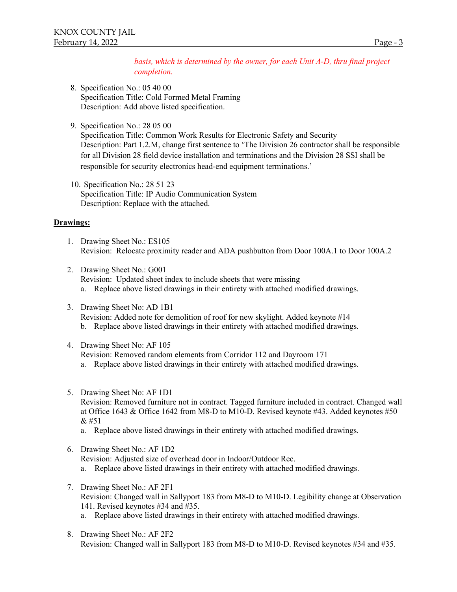*basis, which is determined by the owner, for each Unit A-D, thru final project completion.*

- 8. Specification No.: 05 40 00 Specification Title: Cold Formed Metal Framing Description: Add above listed specification.
- 9. Specification No.: 28 05 00

Specification Title: Common Work Results for Electronic Safety and Security Description: Part 1.2.M, change first sentence to 'The Division 26 contractor shall be responsible for all Division 28 field device installation and terminations and the Division 28 SSI shall be responsible for security electronics head-end equipment terminations.'

10. Specification No.: 28 51 23 Specification Title: IP Audio Communication System Description: Replace with the attached.

## **Drawings:**

- 1. Drawing Sheet No.: ES105 Revision: Relocate proximity reader and ADA pushbutton from Door 100A.1 to Door 100A.2
- 2. Drawing Sheet No.: G001 Revision: Updated sheet index to include sheets that were missing a. Replace above listed drawings in their entirety with attached modified drawings.
- 3. Drawing Sheet No: AD 1B1 Revision: Added note for demolition of roof for new skylight. Added keynote #14 b. Replace above listed drawings in their entirety with attached modified drawings.
- 4. Drawing Sheet No: AF 105
	- Revision: Removed random elements from Corridor 112 and Dayroom 171
	- a. Replace above listed drawings in their entirety with attached modified drawings.
- 5. Drawing Sheet No: AF 1D1

Revision: Removed furniture not in contract. Tagged furniture included in contract. Changed wall at Office 1643 & Office 1642 from M8-D to M10-D. Revised keynote #43. Added keynotes #50 & #51

- a. Replace above listed drawings in their entirety with attached modified drawings.
- 6. Drawing Sheet No.: AF 1D2

Revision: Adjusted size of overhead door in Indoor/Outdoor Rec.

- a. Replace above listed drawings in their entirety with attached modified drawings.
- 7. Drawing Sheet No.: AF 2F1 Revision: Changed wall in Sallyport 183 from M8-D to M10-D. Legibility change at Observation 141. Revised keynotes #34 and #35. a. Replace above listed drawings in their entirety with attached modified drawings.
- 8. Drawing Sheet No.: AF 2F2 Revision: Changed wall in Sallyport 183 from M8-D to M10-D. Revised keynotes #34 and #35.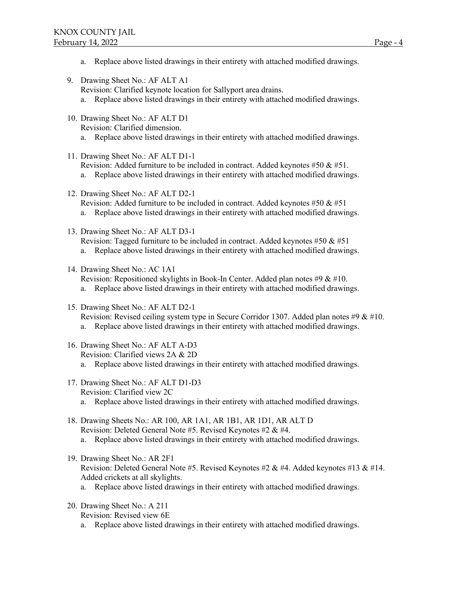- a. Replace above listed drawings in their entirety with attached modified drawings.
- 9. Drawing Sheet No.: AF ALT A1

Revision: Clarified keynote location for Sallyport area drains.

- a. Replace above listed drawings in their entirety with attached modified drawings.
- 10. Drawing Sheet No.: AF ALT D1 Revision: Clarified dimension.
	- a. Replace above listed drawings in their entirety with attached modified drawings.
- 11. Drawing Sheet No.: AF ALT D1-1 Revision: Added furniture to be included in contract. Added keynotes #50 & #51.
	- a. Replace above listed drawings in their entirety with attached modified drawings.
- 12. Drawing Sheet No.: AF ALT D2-1 Revision: Added furniture to be included in contract. Added keynotes #50  $\&$  #51 a. Replace above listed drawings in their entirety with attached modified drawings.
- 13. Drawing Sheet No.: AF ALT D3-1 Revision: Tagged furniture to be included in contract. Added keynotes #50  $\&$  #51
	- a. Replace above listed drawings in their entirety with attached modified drawings.
- 14. Drawing Sheet No.: AC 1A1 Revision: Repositioned skylights in Book-In Center. Added plan notes #9 & #10.
	- a. Replace above listed drawings in their entirety with attached modified drawings.
- 15. Drawing Sheet No.: AF ALT D2-1
	- Revision: Revised ceiling system type in Secure Corridor 1307. Added plan notes #9 & #10.
	- a. Replace above listed drawings in their entirety with attached modified drawings.
- 16. Drawing Sheet No.: AF ALT A-D3 Revision: Clarified views 2A & 2D
	- a. Replace above listed drawings in their entirety with attached modified drawings.
- 17. Drawing Sheet No.: AF ALT D1-D3
	- Revision: Clarified view 2C
	- a. Replace above listed drawings in their entirety with attached modified drawings.
- 18. Drawing Sheets No.: AR 100, AR 1A1, AR 1B1, AR 1D1, AR ALT D Revision: Deleted General Note #5. Revised Keynotes #2 & #4. a. Replace above listed drawings in their entirety with attached modified drawings.
	-
- 19. Drawing Sheet No.: AR 2F1 Revision: Deleted General Note #5. Revised Keynotes #2 & #4. Added keynotes #13 & #14. Added crickets at all skylights.
	- a. Replace above listed drawings in their entirety with attached modified drawings.
- 20. Drawing Sheet No.: A 211
	- Revision: Revised view 6E
	- a. Replace above listed drawings in their entirety with attached modified drawings.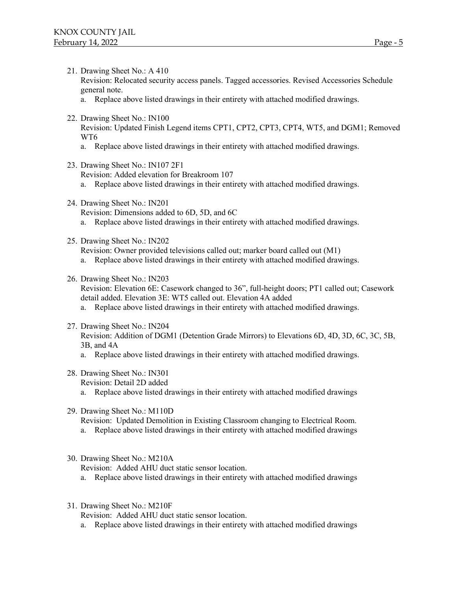21. Drawing Sheet No.: A 410

Revision: Relocated security access panels. Tagged accessories. Revised Accessories Schedule general note.

- a. Replace above listed drawings in their entirety with attached modified drawings.
- 22. Drawing Sheet No.: IN100

Revision: Updated Finish Legend items CPT1, CPT2, CPT3, CPT4, WT5, and DGM1; Removed WT6

- a. Replace above listed drawings in their entirety with attached modified drawings.
- 23. Drawing Sheet No.: IN107 2F1 Revision: Added elevation for Breakroom 107
	- a. Replace above listed drawings in their entirety with attached modified drawings.
- 24. Drawing Sheet No.: IN201 Revision: Dimensions added to 6D, 5D, and 6C
	- a. Replace above listed drawings in their entirety with attached modified drawings.
- 25. Drawing Sheet No.: IN202

Revision: Owner provided televisions called out; marker board called out (M1)

- a. Replace above listed drawings in their entirety with attached modified drawings.
- 26. Drawing Sheet No.: IN203

Revision: Elevation 6E: Casework changed to 36", full-height doors; PT1 called out; Casework detail added. Elevation 3E: WT5 called out. Elevation 4A added

- a. Replace above listed drawings in their entirety with attached modified drawings.
- 27. Drawing Sheet No.: IN204

Revision: Addition of DGM1 (Detention Grade Mirrors) to Elevations 6D, 4D, 3D, 6C, 3C, 5B, 3B, and 4A

- a. Replace above listed drawings in their entirety with attached modified drawings.
- 28. Drawing Sheet No.: IN301

Revision: Detail 2D added

- a. Replace above listed drawings in their entirety with attached modified drawings
- 29. Drawing Sheet No.: M110D

Revision: Updated Demolition in Existing Classroom changing to Electrical Room.

- a. Replace above listed drawings in their entirety with attached modified drawings
- 30. Drawing Sheet No.: M210A

Revision: Added AHU duct static sensor location.

- a. Replace above listed drawings in their entirety with attached modified drawings
- 31. Drawing Sheet No.: M210F
	- Revision: Added AHU duct static sensor location.
	- a. Replace above listed drawings in their entirety with attached modified drawings